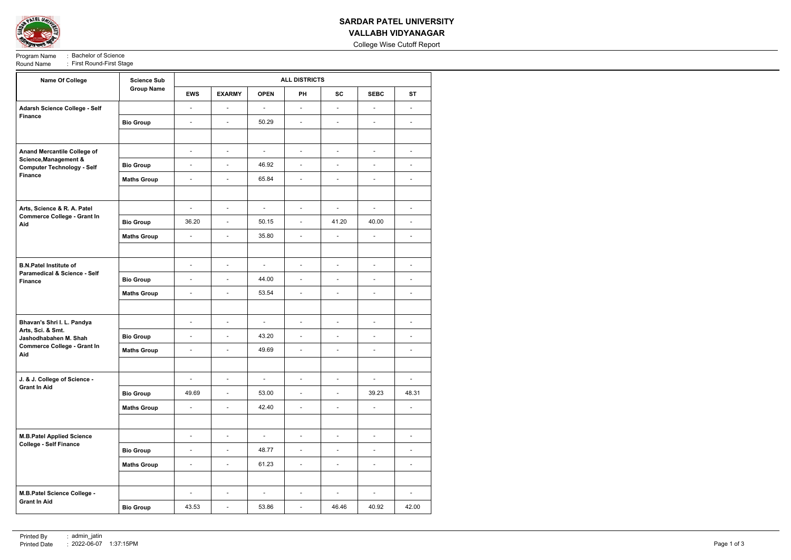

## **SARDAR PATEL UNIVERSITY VALLABH VIDYANAGAR**

College Wise Cutoff Report

Program Name : Bachelor of Science<br>Round Name : First Round-First Sta : First Round-First Stage

| <b>Name Of College</b>                                                                                                | <b>Science Sub</b><br><b>Group Name</b> | <b>ALL DISTRICTS</b>     |                          |                |                          |                          |                          |                          |  |
|-----------------------------------------------------------------------------------------------------------------------|-----------------------------------------|--------------------------|--------------------------|----------------|--------------------------|--------------------------|--------------------------|--------------------------|--|
|                                                                                                                       |                                         | <b>EWS</b>               | <b>EXARMY</b>            | <b>OPEN</b>    | <b>PH</b>                | <b>SC</b>                | <b>SEBC</b>              | <b>ST</b>                |  |
| Adarsh Science College - Self<br><b>Finance</b>                                                                       |                                         | $\bar{\phantom{a}}$      | $\blacksquare$           | $\blacksquare$ | $\blacksquare$           | $\blacksquare$           | $\blacksquare$           | $\blacksquare$           |  |
|                                                                                                                       | <b>Bio Group</b>                        | $\overline{\phantom{a}}$ | $\blacksquare$           | 50.29          | $\blacksquare$           | $\overline{\phantom{a}}$ | $\blacksquare$           | $\blacksquare$           |  |
|                                                                                                                       |                                         |                          |                          |                |                          |                          |                          |                          |  |
| Anand Mercantile College of                                                                                           |                                         | $\overline{\phantom{a}}$ | $\blacksquare$           | $\blacksquare$ | $\overline{\phantom{a}}$ | $\blacksquare$           | $\blacksquare$           | $\blacksquare$           |  |
| <b>Science, Management &amp;</b><br><b>Computer Technology - Self</b>                                                 | <b>Bio Group</b>                        | $\bar{\phantom{a}}$      | $\overline{\phantom{a}}$ | 46.92          | $\blacksquare$           | $\overline{\phantom{a}}$ | $\overline{\phantom{a}}$ | $\overline{\phantom{0}}$ |  |
| Finance                                                                                                               | <b>Maths Group</b>                      | $\overline{\phantom{a}}$ | $\blacksquare$           | 65.84          | $\overline{\phantom{a}}$ | $\blacksquare$           | $\overline{\phantom{a}}$ | $\blacksquare$           |  |
|                                                                                                                       |                                         |                          |                          |                |                          |                          |                          |                          |  |
| Arts, Science & R. A. Patel<br><b>Commerce College - Grant In</b><br>Aid                                              |                                         | $\overline{\phantom{a}}$ | $\blacksquare$           | $\blacksquare$ | $\blacksquare$           | $\overline{\phantom{a}}$ | $\blacksquare$           | $\blacksquare$           |  |
|                                                                                                                       | <b>Bio Group</b>                        | 36.20                    | $\overline{\phantom{a}}$ | 50.15          | $\blacksquare$           | 41.20                    | 40.00                    | $\sim$                   |  |
|                                                                                                                       | <b>Maths Group</b>                      | $\bar{\phantom{a}}$      | $\blacksquare$           | 35.80          | $\blacksquare$           | $\overline{\phantom{a}}$ | $\blacksquare$           | $\blacksquare$           |  |
|                                                                                                                       |                                         |                          |                          |                |                          |                          |                          |                          |  |
| <b>B.N.Patel Institute of</b>                                                                                         |                                         | $\overline{\phantom{a}}$ | $\overline{\phantom{a}}$ | $\blacksquare$ | $\overline{\phantom{a}}$ | $\blacksquare$           | $\overline{\phantom{a}}$ | $\blacksquare$           |  |
| <b>Paramedical &amp; Science - Self</b><br><b>Finance</b>                                                             | <b>Bio Group</b>                        | $\overline{\phantom{a}}$ | $\blacksquare$           | 44.00          | $\overline{\phantom{a}}$ | $\blacksquare$           | $\overline{\phantom{a}}$ | $\blacksquare$           |  |
|                                                                                                                       | <b>Maths Group</b>                      | $\overline{\phantom{a}}$ | $\blacksquare$           | 53.54          | $\overline{\phantom{a}}$ | $\blacksquare$           | $\blacksquare$           | $\blacksquare$           |  |
|                                                                                                                       |                                         |                          |                          |                |                          |                          |                          |                          |  |
| Bhavan's Shri I. L. Pandya<br>Arts, Sci. & Smt.<br>Jashodhabahen M. Shah<br><b>Commerce College - Grant In</b><br>Aid |                                         | $\blacksquare$           | $\blacksquare$           | $\blacksquare$ | $\blacksquare$           | $\blacksquare$           | $\blacksquare$           | $\blacksquare$           |  |
|                                                                                                                       | <b>Bio Group</b>                        | $\overline{\phantom{a}}$ | $\blacksquare$           | 43.20          | $\blacksquare$           | $\overline{\phantom{a}}$ | $\blacksquare$           | $\blacksquare$           |  |
|                                                                                                                       | <b>Maths Group</b>                      | $\overline{\phantom{a}}$ | $\blacksquare$           | 49.69          | $\overline{\phantom{a}}$ | $\overline{\phantom{a}}$ | $\overline{\phantom{a}}$ | $\blacksquare$           |  |
|                                                                                                                       |                                         |                          |                          |                |                          |                          |                          |                          |  |
| J. & J. College of Science -<br><b>Grant In Aid</b>                                                                   |                                         | $\overline{\phantom{a}}$ | $\blacksquare$           | $\blacksquare$ | $\blacksquare$           | $\blacksquare$           | $\overline{\phantom{a}}$ | $\blacksquare$           |  |
|                                                                                                                       | <b>Bio Group</b>                        | 49.69                    | $\blacksquare$           | 53.00          | $\overline{\phantom{a}}$ | $\overline{\phantom{a}}$ | 39.23                    | 48.31                    |  |
|                                                                                                                       | <b>Maths Group</b>                      | $\blacksquare$           | $\blacksquare$           | 42.40          | $\overline{\phantom{a}}$ | $\overline{\phantom{a}}$ | $\blacksquare$           | $\blacksquare$           |  |
|                                                                                                                       |                                         |                          |                          |                |                          |                          |                          |                          |  |
| <b>M.B.Patel Applied Science</b><br><b>College - Self Finance</b>                                                     |                                         | $\overline{\phantom{a}}$ | $\blacksquare$           | $\blacksquare$ | $\overline{\phantom{a}}$ | $\overline{\phantom{a}}$ | $\overline{\phantom{a}}$ | $\overline{\phantom{a}}$ |  |
|                                                                                                                       | <b>Bio Group</b>                        | $\overline{\phantom{a}}$ | $\overline{a}$           | 48.77          | $\overline{\phantom{a}}$ | $\overline{\phantom{a}}$ | $\overline{\phantom{a}}$ | $\overline{\phantom{0}}$ |  |
|                                                                                                                       | <b>Maths Group</b>                      | $\overline{\phantom{a}}$ | $\blacksquare$           | 61.23          | $\overline{\phantom{a}}$ | $\overline{\phantom{a}}$ | $\overline{\phantom{a}}$ | $\blacksquare$           |  |
|                                                                                                                       |                                         |                          |                          |                |                          |                          |                          |                          |  |
| M.B.Patel Science College -<br><b>Grant In Aid</b>                                                                    |                                         | $\overline{\phantom{a}}$ | $\blacksquare$           | $\blacksquare$ | $\overline{\phantom{a}}$ | $\overline{\phantom{a}}$ | $\blacksquare$           | $\overline{\phantom{a}}$ |  |
|                                                                                                                       | <b>Bio Group</b>                        | 43.53                    | $\blacksquare$           | 53.86          | $\blacksquare$           | 46.46                    | 40.92                    | 42.00                    |  |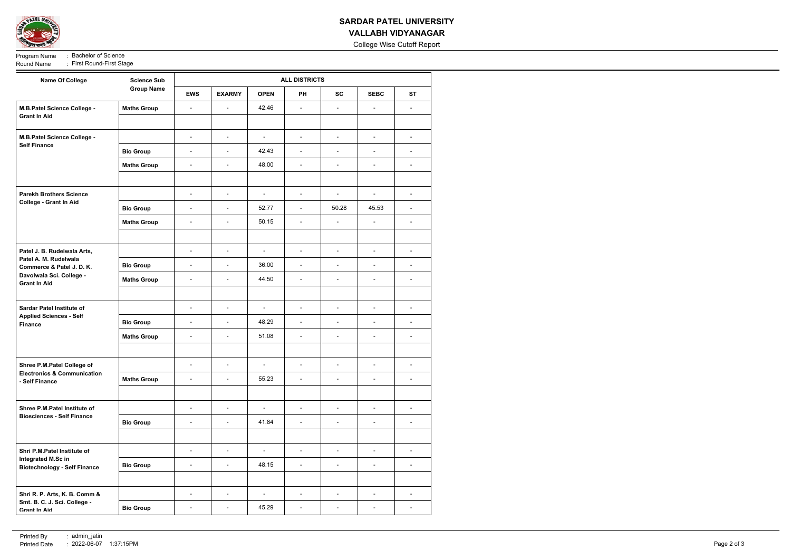

## **SARDAR PATEL UNIVERSITY VALLABH VIDYANAGAR**

College Wise Cutoff Report

Program Name : Bachelor of Science<br>Round Name : First Round-First Sta : First Round-First Stage

| <b>Name Of College</b>                                                                                                               | <b>Science Sub</b><br><b>Group Name</b> | <b>ALL DISTRICTS</b>     |                          |                |                          |                          |                          |                          |  |
|--------------------------------------------------------------------------------------------------------------------------------------|-----------------------------------------|--------------------------|--------------------------|----------------|--------------------------|--------------------------|--------------------------|--------------------------|--|
|                                                                                                                                      |                                         | <b>EWS</b>               | <b>EXARMY</b>            | <b>OPEN</b>    | <b>PH</b>                | <b>SC</b>                | <b>SEBC</b>              | <b>ST</b>                |  |
| M.B.Patel Science College -                                                                                                          | <b>Maths Group</b>                      | $\blacksquare$           | $\blacksquare$           | 42.46          | $\mathbb{L}$             | $\overline{\phantom{a}}$ | $\overline{\phantom{a}}$ | $\blacksquare$           |  |
| <b>Grant In Aid</b>                                                                                                                  |                                         |                          |                          |                |                          |                          |                          |                          |  |
| M.B.Patel Science College -<br><b>Self Finance</b>                                                                                   |                                         | $\blacksquare$           | $\overline{\phantom{a}}$ | $\blacksquare$ | $\overline{\phantom{a}}$ | $\overline{\phantom{a}}$ | $\overline{\phantom{a}}$ | $\overline{\phantom{a}}$ |  |
|                                                                                                                                      | <b>Bio Group</b>                        | $\blacksquare$           | $\overline{\phantom{a}}$ | 42.43          | $\overline{\phantom{a}}$ | $\overline{\phantom{a}}$ | $\overline{\phantom{m}}$ | $\overline{\phantom{a}}$ |  |
|                                                                                                                                      | <b>Maths Group</b>                      | $\blacksquare$           | $\overline{\phantom{a}}$ | 48.00          | $\overline{\phantom{a}}$ | $\blacksquare$           | $\blacksquare$           | $\overline{a}$           |  |
|                                                                                                                                      |                                         |                          |                          |                |                          |                          |                          |                          |  |
| <b>Parekh Brothers Science</b><br>College - Grant In Aid                                                                             |                                         | $\blacksquare$           | $\overline{\phantom{a}}$ | $\blacksquare$ | $\overline{\phantom{a}}$ | $\blacksquare$           | $\overline{\phantom{a}}$ | $\blacksquare$           |  |
|                                                                                                                                      | <b>Bio Group</b>                        | $\overline{\phantom{a}}$ | $\overline{\phantom{a}}$ | 52.77          | $\overline{\phantom{a}}$ | 50.28                    | 45.53                    | $\blacksquare$           |  |
|                                                                                                                                      | <b>Maths Group</b>                      | $\overline{\phantom{a}}$ | $\overline{a}$           | 50.15          | $\blacksquare$           | $\overline{a}$           | $\blacksquare$           | $\overline{\phantom{a}}$ |  |
|                                                                                                                                      |                                         |                          |                          |                |                          |                          |                          |                          |  |
| Patel J. B. Rudelwala Arts,<br>Patel A. M. Rudelwala<br>Commerce & Patel J. D. K.<br>Davolwala Sci. College -<br><b>Grant In Aid</b> |                                         | $\blacksquare$           | $\overline{\phantom{a}}$ | $\blacksquare$ | $\overline{\phantom{a}}$ | $\blacksquare$           | $\blacksquare$           | $\overline{\phantom{a}}$ |  |
|                                                                                                                                      | <b>Bio Group</b>                        | $\blacksquare$           | $\blacksquare$           | 36.00          | $\overline{\phantom{a}}$ | $\blacksquare$           | $\overline{\phantom{a}}$ | $\overline{\phantom{a}}$ |  |
|                                                                                                                                      | <b>Maths Group</b>                      | $\blacksquare$           | $\overline{\phantom{a}}$ | 44.50          | $\overline{\phantom{a}}$ | $\overline{\phantom{a}}$ | $\blacksquare$           | $\blacksquare$           |  |
|                                                                                                                                      |                                         |                          |                          |                |                          |                          |                          |                          |  |
| <b>Sardar Patel Institute of</b><br><b>Applied Sciences - Self</b>                                                                   |                                         | $\blacksquare$           | $\overline{\phantom{a}}$ | $\blacksquare$ | $\overline{\phantom{a}}$ | $\overline{\phantom{a}}$ | $\overline{\phantom{m}}$ | $\overline{\phantom{a}}$ |  |
| <b>Finance</b>                                                                                                                       | <b>Bio Group</b>                        | $\blacksquare$           | $\overline{\phantom{a}}$ | 48.29          | $\overline{\phantom{a}}$ | $\overline{\phantom{a}}$ | $\overline{\phantom{a}}$ | $\overline{\phantom{a}}$ |  |
|                                                                                                                                      | <b>Maths Group</b>                      | $\blacksquare$           | $\overline{\phantom{a}}$ | 51.08          | $\overline{\phantom{a}}$ | $\overline{\phantom{a}}$ | $\overline{\phantom{a}}$ | $\overline{\phantom{a}}$ |  |
|                                                                                                                                      |                                         |                          |                          |                |                          |                          |                          |                          |  |
| Shree P.M.Patel College of<br><b>Electronics &amp; Communication</b><br>- Self Finance                                               |                                         | $\overline{\phantom{a}}$ | $\overline{\phantom{0}}$ | $\blacksquare$ | $\overline{\phantom{a}}$ |                          | $\blacksquare$           | $\overline{\phantom{a}}$ |  |
|                                                                                                                                      | <b>Maths Group</b>                      | $\blacksquare$           | $\overline{\phantom{a}}$ | 55.23          | $\overline{\phantom{a}}$ | $\overline{a}$           | $\blacksquare$           | $\overline{\phantom{a}}$ |  |
|                                                                                                                                      |                                         |                          |                          |                |                          |                          |                          |                          |  |
| Shree P.M.Patel Institute of<br><b>Biosciences - Self Finance</b>                                                                    |                                         | $\blacksquare$           | $\overline{\phantom{a}}$ | $\blacksquare$ | $\overline{\phantom{a}}$ | $\overline{\phantom{a}}$ | $\overline{\phantom{a}}$ |                          |  |
|                                                                                                                                      | <b>Bio Group</b>                        | $\blacksquare$           | $\blacksquare$           | 41.84          | $\overline{\phantom{a}}$ | $\overline{\phantom{a}}$ | $\overline{\phantom{a}}$ | $\overline{a}$           |  |
|                                                                                                                                      |                                         |                          |                          |                |                          |                          |                          |                          |  |
| Shri P.M.Patel Institute of<br>Integrated M.Sc in<br><b>Biotechnology - Self Finance</b>                                             |                                         | $\overline{\phantom{a}}$ | $\overline{\phantom{a}}$ | $\blacksquare$ | $\overline{\phantom{a}}$ | $\overline{\phantom{a}}$ | $\blacksquare$           | $\overline{\phantom{a}}$ |  |
|                                                                                                                                      | <b>Bio Group</b>                        | $\blacksquare$           | $\overline{\phantom{a}}$ | 48.15          | $\overline{\phantom{a}}$ | $\overline{\phantom{a}}$ | $\overline{\phantom{m}}$ | $\overline{\phantom{a}}$ |  |
|                                                                                                                                      |                                         |                          |                          |                |                          |                          |                          |                          |  |
| Shri R. P. Arts, K. B. Comm &<br>Smt. B. C. J. Sci. College -                                                                        |                                         | $\blacksquare$           | $\blacksquare$           | $\blacksquare$ | $\overline{\phantom{a}}$ | $\sim$                   | $\overline{\phantom{a}}$ | $\overline{\phantom{a}}$ |  |
| <b>Grant In Aid</b>                                                                                                                  | <b>Bio Group</b>                        | $\overline{\phantom{a}}$ | $\blacksquare$           | 45.29          | $\overline{\phantom{a}}$ | $\overline{\phantom{a}}$ | $\overline{\phantom{a}}$ | $\blacksquare$           |  |